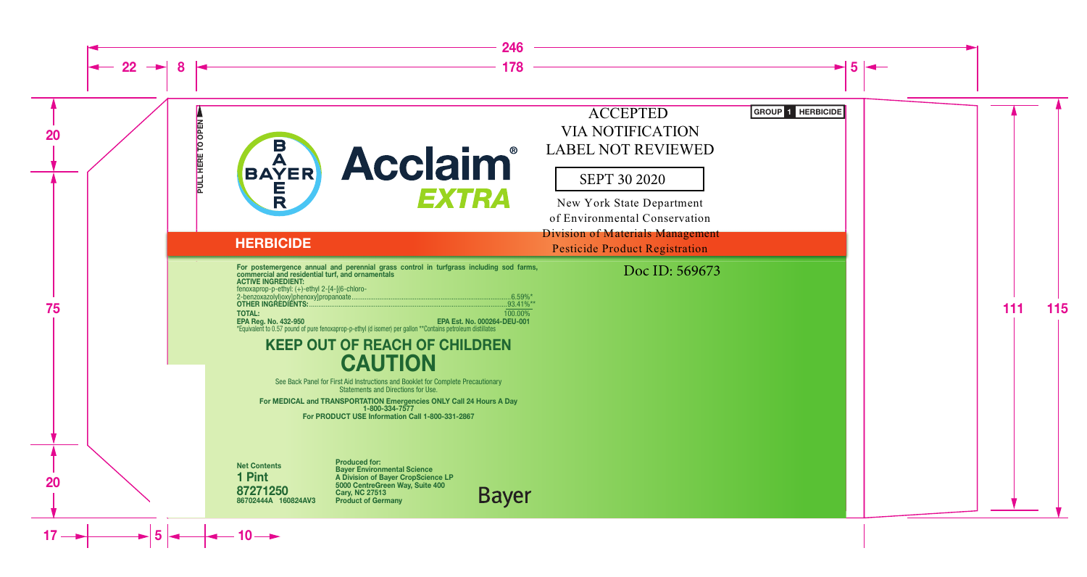

## **HERBICIDE**

75 111 115 For postemergence annual and perennial grass control in turfgrass including sod farms, commercial and residential turf, and ornamentals ACTIVE INGREDIENT: fenoxaprop-p-ethyl: (+)-ethyl 2-[4-[(6-chloro-2-benzoxazolyl)oxy]phenoxy]propanoate......................................................................................6.59%\* OTHER INGREDIENTS:...........................................................................................................93.41%\*\*

TOTAL: 100.00% EPA Reg. No. 432-950<br>\*Equivalent to 0.57 pound of pure fenoxaprop-p-ethyl (d isomer) per gallon \*\*Contains petroleum distillates

## KEEP OUT OF REACH OF CHILDREN **CAUTION**

See Back Panel for First Aid Instructions and Booklet for Complete Precautionary Statements and Directions for Use.

For MEDICAL and TRANSPORTATION Emergencies ONLY Call 24 Hours A Day 1-800-334-7577 For PRODUCT USE Information Call 1-800-331-2867

Net Contents 1 Pint 87271250 86702444A 160824AV3

Produced for: Bayer Environmental Science A Division of Bayer CropScience LP 5000 CentreGreen Way, Suite 400 Cary, NC 27513 Product of Germany



## **ACCEPTED** VIA NOTIFICATION LABEL NOT REVIEWED

## SEPT 30 2020

New York State Department

of Environmental Conservation

Division of Materials Management

Pesticide Product Registration

Doc ID: 569673

GROUP 1 HERBICIDE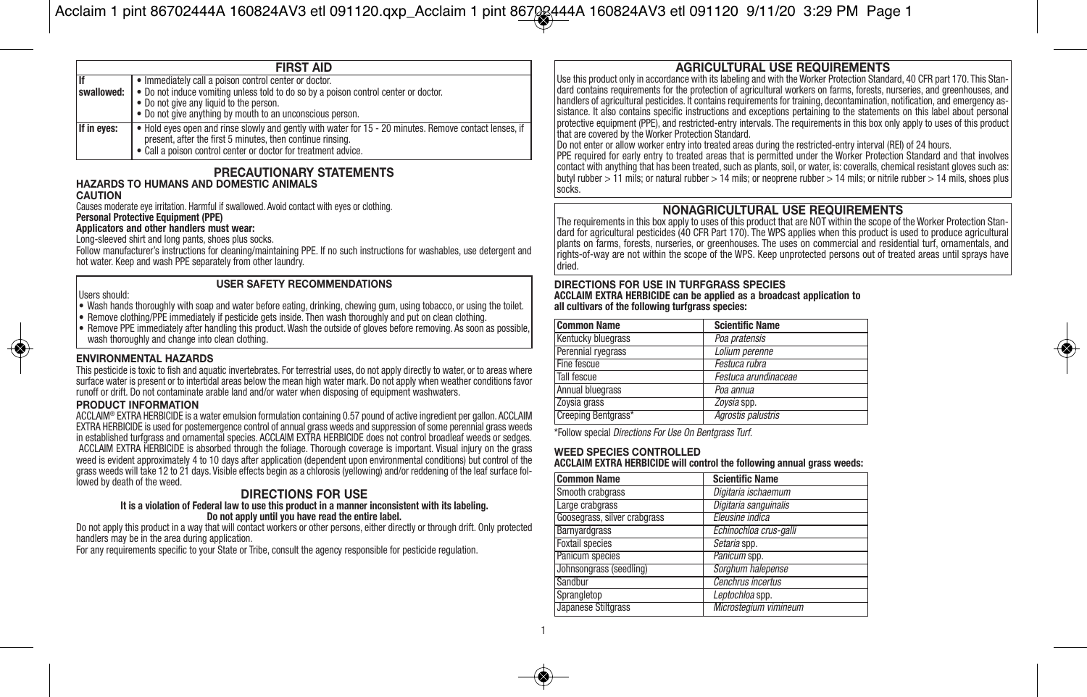|             | <b>FIRST AID</b>                                                                                                                                                                                                                                                        |  |
|-------------|-------------------------------------------------------------------------------------------------------------------------------------------------------------------------------------------------------------------------------------------------------------------------|--|
|             | • Immediately call a poison control center or doctor.<br>swallowed: $\bullet$ Do not induce vomiting unless told to do so by a poison control center or doctor.<br>• Do not give any liquid to the person.<br>• Do not give anything by mouth to an unconscious person. |  |
| If in eves: | • Hold eyes open and rinse slowly and gently with water for 15 - 20 minutes. Remove contact lenses, if<br>present, after the first 5 minutes, then continue rinsing.<br>• Call a poison control center or doctor for treatment advice.                                  |  |

**PRECAUTIONARY STATEMENTS**

## **HAZARDS TO HUMANS AND DOMESTIC ANIMALS**

#### **CAUTION**

Users should:

Causes moderate eye irritation. Harmful if swallowed. Avoid contact with eyes or clothing. **Personal Protective Equipment (PPE)**

## **Applicators and other handlers must wear:**

Long-sleeved shirt and long pants, shoes plus socks.

Follow manufacturer's instructions for cleaning/maintaining PPE. If no such instructions for washables, use detergent and hot water. Keep and wash PPE separately from other laundry.

## **USER SAFETY RECOMMENDATIONS**

- Wash hands thoroughly with soap and water before eating, drinking, chewing gum, using tobacco, or using the toilet.
- Remove clothing/PPE immediately if pesticide gets inside. Then wash thoroughly and put on clean clothing.
- Remove PPE immediately after handling this product. Wash the outside of gloves before removing. As soon as possible, wash thoroughly and change into clean clothing.

### **ENVIRONMENTAL HAZARDS**

This pesticide is toxic to fish and aquatic invertebrates. For terrestrial uses, do not apply directly to water, or to areas where surface water is present or to intertidal areas below the mean high water mark. Do not apply when weather conditions favor runoff or drift. Do not contaminate arable land and/or water when disposing of equipment washwaters.

#### **PRODUCT INFORMATION**

ACCLAIM® EXTRA HERBICIDE is a water emulsion formulation containing 0.57 pound of active ingredient per gallon. ACCLAIM EXTRA HERBICIDE is used for postemergence control of annual grass weeds and suppression of some perennial grass weeds in established turfgrass and ornamental species. ACCLAIM EXTRA HERBICIDE does not control broadleaf weeds or sedges. ACCLAIM EXTRA HERBICIDE is absorbed through the foliage. Thorough coverage is important. Visual injury on the grass weed is evident approximately 4 to 10 days after application (dependent upon environmental conditions) but control of the grass weeds will take 12 to 21 days. Visible effects begin as a chlorosis (yellowing) and/or reddening of the leaf surface followed by death of the weed.

#### **DIRECTIONS FOR USE It is a violation of Federal law to use this product in a manner inconsistent with its labeling. Do not apply until you have read the entire label.**

Do not apply this product in a way that will contact workers or other persons, either directly or through drift. Only protected handlers may be in the area during application.

For any requirements specific to your State or Tribe, consult the agency responsible for pesticide regulation.

## **AGRICULTURAL USE REQUIREMENTS**

Use this product only in accordance with its labeling and with the Worker Protection Standard, 40 CFR part 170. This Stan dard contains requirements for the protection of agricultural workers on farms, forests, nurseries, and greenhouses, and handlers of agricultural pesticides. It contains requirements for training, decontamination, notification, and emergency as sistance. It also contains specific instructions and exceptions pertaining to the statements on this label about personal protective equipment (PPE), and restricted-entry intervals. The requirements in this box only apply to uses of this product that are covered by the Worker Protection Standard.

Do not enter or allow worker entry into treated areas during the restricted-entry interval (REI) of 24 hours.

PPE required for early entry to treated areas that is permitted under the Worker Protection Standard and that involves contact with anything that has been treated, such as plants, soil, or water, is: coveralls, chemical resistant gloves such as: butyl rubber > 11 mils; or natural rubber > 14 mils; or neoprene rubber > 14 mils; or nitrile rubber > 14 mils, shoes plus socks.

## **NONAGRICULTURAL USE REQUIREMENTS**

The requirements in this box apply to uses of this product that are NOT within the scope of the Worker Protection Standard for agricultural pesticides (40 CFR Part 170). The WPS applies when this product is used to produce agricultural plants on farms, forests, nurseries, or greenhouses. The uses on commercial and residential turf, ornamentals, and rights-of-way are not within the scope of the WPS. Keep unprotected persons out of treated areas until sprays have dried.

#### **DIRECTIONS FOR USE IN TURFGRASS SPECIES ACCLAIM EXTRA HERBICIDE can be applied as a broadcast application to all cultivars of the following turfgrass species:**

| <b>Common Name</b>  | <b>Scientific Name</b> |
|---------------------|------------------------|
| Kentucky bluegrass  | Poa pratensis          |
| Perennial rvegrass  | Lolium perenne         |
| Fine fescue         | Festuca rubra          |
| Tall fescue         | Festuca arundinaceae   |
| Annual bluegrass    | Poa annua              |
| Zoysia grass        | Zoysia spp.            |
| Creeping Bentgrass* | Agrostis palustris     |

\*Follow special Directions For Use On Bentgrass Turf.

## **WEED SPECIES CONTROLLED**

**ACCLAIM EXTRA HERBICIDE will control the following annual grass weeds:**

| <b>Common Name</b>           | <b>Scientific Name</b> |
|------------------------------|------------------------|
| Smooth crabgrass             | Digitaria ischaemum    |
| Large crabgrass              | Digitaria sanguinalis  |
| Goosegrass, silver crabgrass | Eleusine indica        |
| <b>Barnvardgrass</b>         | Echinochloa crus-galli |
| <b>Foxtail species</b>       | Setaria spp.           |
| Panicum species              | Panicum spp.           |
| Johnsongrass (seedling)      | Sorghum halepense      |
| Sandbur                      | Cenchrus incertus      |
| Sprangletop                  | Leptochloa spp.        |
| Japanese Stiltgrass          | Microstegium vimineum  |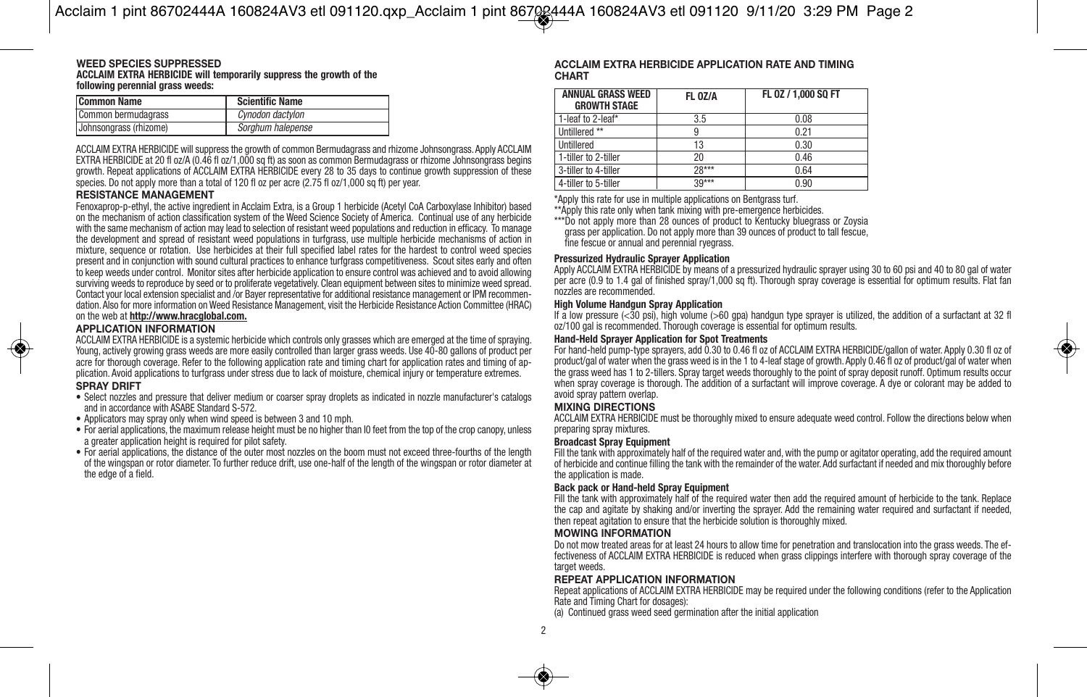## **WEED SPECIES SUPPRESSED ACCLAIM EXTRA HERBICIDE will temporarily suppress the growth of the following perennial grass weeds: ANNUAL GRASS WEED**

| <b>Common Name</b>     | <b>Scientific Name</b> |
|------------------------|------------------------|
| Common bermudagrass    | Cynodon dactylon       |
| Johnsongrass (rhizome) | Sorghum halepense      |

ACCLAIM EXTRA HERBICIDE will suppress the growth of common Bermudagrass and rhizome Johnsongrass. Apply ACCLAIM EXTRA HERBICIDE at 20 fl oz/A (0.46 fl oz/1,000 sq ft) as soon as common Bermudagrass or rhizome Johnsongrass begins growth. Repeat applications of ACCLAIM EXTRA HERBICIDE every 28 to 35 days to continue growth suppression of these species. Do not apply more than a total of 120 fl oz per acre (2.75 fl oz/1,000 sq ft) per year.

#### **RESISTANCE MANAGEMENT**

Fenoxaprop-p-ethyl, the active ingredient in Acclaim Extra, is a Group 1 herbicide (Acetyl CoA Carboxylase Inhibitor) based on the mechanism of action classification system of the Weed Science Society of America. Continual use of any herbicide with the same mechanism of action may lead to selection of resistant weed populations and reduction in efficacy. To manage the development and spread of resistant weed populations in turfgrass, use multiple herbicide mechanisms of action in mixture, sequence or rotation. Use herbicides at their full specified label rates for the hardest to control weed species present and in conjunction with sound cultural practices to enhance turfgrass competitiveness. Scout sites early and often to keep weeds under control. Monitor sites after herbicide application to ensure control was achieved and to avoid allowing surviving weeds to reproduce by seed or to proliferate vegetatively. Clean equipment between sites to minimize weed spread. Contact your local extension specialist and /or Bayer representative for additional resistance management or IPM recommendation. Also for more information on Weed Resistance Management, visit the Herbicide Resistance Action Committee (HRAC) on the web at **http://www.hracglobal.com.**

## **APPLICATION INFORMATION**

ACCLAIM EXTRA HERBICIDE is a systemic herbicide which controls only grasses which are emerged at the time of spraying. Young, actively growing grass weeds are more easily controlled than larger grass weeds. Use 40-80 gallons of product per acre for thorough coverage. Refer to the following application rate and timing chart for application rates and timing of application. Avoid applications to turfgrass under stress due to lack of moisture, chemical injury or temperature extremes. **SPRAY DRIFT**

- Select nozzles and pressure that deliver medium or coarser spray droplets as indicated in nozzle manufacturer's catalogs and in accordance with ASABE Standard S-572.
- Applicators may spray only when wind speed is between 3 and 10 mph.
- For aerial applications, the maximum release height must be no higher than I0 feet from the top of the crop canopy, unless a greater application height is required for pilot safety.
- For aerial applications, the distance of the outer most nozzles on the boom must not exceed three-fourths of the length of the wingspan or rotor diameter. To further reduce drift, use one-half of the length of the wingspan or rotor diameter at the edge of a field.

#### **ACCLAIM EXTRA HERBICIDE APPLICATION RATE AND TIMING CHART**

| <b>ANNUAL GRASS WEED</b><br><b>GROWTH STAGE</b> | FL 0Z/A | FL 0Z / 1.000 SQ FT |
|-------------------------------------------------|---------|---------------------|
| 1-leaf to 2-leaf*                               | 3.5     | 0.08                |
| Untillered **                                   | g       | 0.21                |
| I Untillered                                    | 13      | 0.30                |
| 1-tiller to 2-tiller                            | 20      | 0.46                |
| 3-tiller to 4-tiller                            | $28***$ | 0.64                |
| 4-tiller to 5-tiller                            | $39***$ | 0.90                |

\*Apply this rate for use in multiple applications on Bentgrass turf.

\*\*Apply this rate only when tank mixing with pre-emergence herbicides.

\*\*\*Do not apply more than 28 ounces of product to Kentucky bluegrass or Zoysia grass per application. Do not apply more than 39 ounces of product to tall fescue,

fine fescue or annual and perennial ryegrass.

#### **Pressurized Hydraulic Sprayer Application**

Apply ACCLAIM EXTRA HERBICIDE by means of a pressurized hydraulic sprayer using 30 to 60 psi and 40 to 80 gal of water per acre (0.9 to 1.4 gal of finished spray/1,000 sq ft). Thorough spray coverage is essential for optimum results. Flat fan nozzles are recommended.

#### **High Volume Handgun Spray Application**

If a low pressure  $\langle$ <30 psi), high volume  $\langle$ >60 gpa) handgun type sprayer is utilized, the addition of a surfactant at 32 fl oz/100 gal is recommended. Thorough coverage is essential for optimum results.

### **Hand-Held Sprayer Application for Spot Treatments**

For hand-held pump-type sprayers, add 0.30 to 0.46 fl oz of ACCLAIM EXTRA HERBICIDE/gallon of water. Apply 0.30 fl oz of product/gal of water when the grass weed is in the 1 to 4-leaf stage of growth. Apply 0.46 fl oz of product/gal of water when the grass weed has 1 to 2-tillers. Spray target weeds thoroughly to the point of spray deposit runoff. Optimum results occur when spray coverage is thorough. The addition of a surfactant will improve coverage. A dye or colorant may be added to avoid spray pattern overlap.

#### **MIXING DIRECTIONS**

ACCLAIM EXTRA HERBICIDE must be thoroughly mixed to ensure adequate weed control. Follow the directions below when preparing spray mixtures.

### **Broadcast Spray Equipment**

Fill the tank with approximately half of the required water and, with the pump or agitator operating, add the required amount of herbicide and continue filling the tank with the remainder of the water. Add surfactant if needed and mix thoroughly before the application is made.

## **Back pack or Hand-held Spray Equipment**

Fill the tank with approximately half of the required water then add the required amount of herbicide to the tank. Replace the cap and agitate by shaking and/or inverting the sprayer. Add the remaining water required and surfactant if needed, then repeat agitation to ensure that the herbicide solution is thoroughly mixed.

### **MOWING INFORMATION**

Do not mow treated areas for at least 24 hours to allow time for penetration and translocation into the grass weeds. The effectiveness of ACCLAIM EXTRA HERBICIDE is reduced when grass clippings interfere with thorough spray coverage of the target weeds.

## **REPEAT APPLICATION INFORMATION**

Repeat applications of ACCLAIM EXTRA HERBICIDE may be required under the following conditions (refer to the Application Rate and Timing Chart for dosages):

(a) Continued grass weed seed germination after the initial application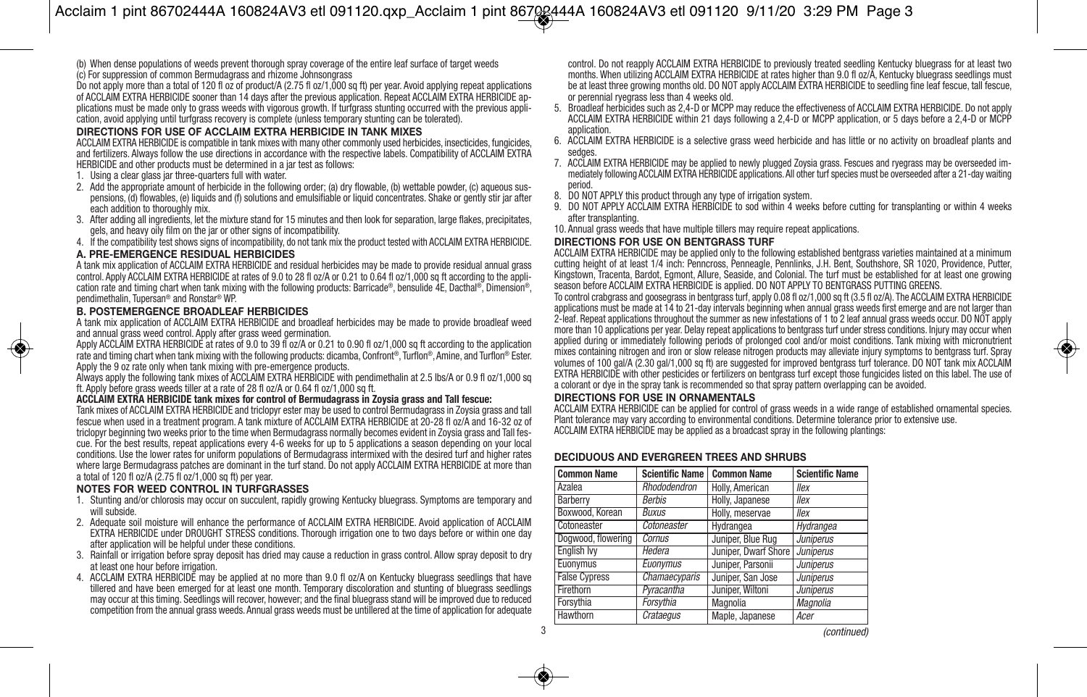(b) When dense populations of weeds prevent thorough spray coverage of the entire leaf surface of target weeds (c) For suppression of common Bermudagrass and rhizome Johnsongrass

Do not apply more than a total of 120 fl oz of product/A (2.75 fl oz/1,000 sq ft) per year. Avoid applying repeat applications of ACCLAIM EXTRA HERBICIDE sooner than 14 days after the previous application. Repeat ACCLAIM EXTRA HERBICIDE applications must be made only to grass weeds with vigorous growth. If turfgrass stunting occurred with the previous application, avoid applying until turfgrass recovery is complete (unless temporary stunting can be tolerated).

## **DIRECTIONS FOR USE OF ACCLAIM EXTRA HERBICIDE IN TANK MIXES**

ACCLAIM EXTRA HERBICIDE is compatible in tank mixes with many other commonly used herbicides, insecticides, fungicides, and fertilizers. Always follow the use directions in accordance with the respective labels. Compatibility of ACCLAIM EXTRA HERBICIDE and other products must be determined in a jar test as follows:

- 1. Using a clear glass jar three-quarters full with water.
- 2. Add the appropriate amount of herbicide in the following order; (a) dry flowable, (b) wettable powder, (c) aqueous suspensions, (d) flowables, (e) liquids and (f) solutions and emulsifiable or liquid concentrates. Shake or gently stir jar after each addition to thoroughly mix.
- 3. After adding all ingredients, let the mixture stand for 15 minutes and then look for separation, large flakes, precipitates, gels, and heavy oily film on the jar or other signs of incompatibility.
- 4. If the compatibility test shows signs of incompatibility, do not tank mix the product tested with ACCLAIM EXTRA HERBICIDE.

### **A. PRE-EMERGENCE RESIDUAL HERBICIDES**

A tank mix application of ACCLAIM EXTRA HERBICIDE and residual herbicides may be made to provide residual annual grass control. Apply ACCLAIM EXTRA HERBICIDE at rates of 9.0 to 28 fl oz/A or 0.21 to 0.64 fl oz/1,000 sq ft according to the application rate and timing chart when tank mixing with the following products: Barricade®, bensulide 4E, Dacthal®, Dimension®, pendimethalin, Tupersan® and Ronstar® WP.

#### **B. POSTEMERGENCE BROADLEAF HERBICIDES**

A tank mix application of ACCLAIM EXTRA HERBICIDE and broadleaf herbicides may be made to provide broadleaf weed and annual grass weed control. Apply after grass weed germination.

Apply ACCLAIM EXTRA HERBICIDE at rates of 9.0 to 39 fl oz/A or 0.21 to 0.90 fl oz/1,000 sq ft according to the application rate and timing chart when tank mixing with the following products: dicamba, Confront®, Turflon®, Amine, and Turflon® Ester. Apply the 9 oz rate only when tank mixing with pre-emergence products.

Always apply the following tank mixes of ACCLAIM EXTRA HERBICIDE with pendimethalin at 2.5 lbs/A or 0.9 fl oz/1,000 sq ft. Apply before grass weeds tiller at a rate of 28 fl oz/A or 0.64 fl oz/1,000 sq ft.

#### **ACCLAIM EXTRA HERBICIDE tank mixes for control of Bermudagrass in Zoysia grass and Tall fescue:**

Tank mixes of ACCLAIM EXTRA HERBICIDE and triclopyr ester may be used to control Bermudagrass in Zoysia grass and tall fescue when used in a treatment program. A tank mixture of ACCLAIM EXTRA HERBICIDE at 20-28 fl oz/A and 16-32 oz of triclopyr beginning two weeks prior to the time when Bermudagrass normally becomes evident in Zoysia grass and Tall fescue. For the best results, repeat applications every 4-6 weeks for up to 5 applications a season depending on your local conditions. Use the lower rates for uniform populations of Bermudagrass intermixed with the desired turf and higher rates where large Bermudagrass patches are dominant in the turf stand. Do not apply ACCLAIM EXTRA HERBICIDE at more than a total of 120 fl oz/A (2.75 fl oz/1,000 sq ft) per year.

## **NOTES FOR WEED CONTROL IN TURFGRASSES**

- 1. Stunting and/or chlorosis may occur on succulent, rapidly growing Kentucky bluegrass. Symptoms are temporary and will subside.
- 2. Adequate soil moisture will enhance the performance of ACCLAIM EXTRA HERBICIDE. Avoid application of ACCLAIM EXTRA HERBICIDE under DROUGHT STRESS conditions. Thorough irrigation one to two days before or within one day after application will be helpful under these conditions.
- 3. Rainfall or irrigation before spray deposit has dried may cause a reduction in grass control. Allow spray deposit to dry at least one hour before irrigation.
- 4. ACCLAIM EXTRA HERBICIDE may be applied at no more than 9.0 fl oz/A on Kentucky bluegrass seedlings that have tillered and have been emerged for at least one month. Temporary discoloration and stunting of bluegrass seedlings may occur at this timing. Seedlings will recover, however; and the final bluegrass stand will be improved due to reduced competition from the annual grass weeds. Annual grass weeds must be untillered at the time of application for adequate

control. Do not reapply ACCLAIM EXTRA HERBICIDE to previously treated seedling Kentucky bluegrass for at least two months. When utilizing ACCLAIM EXTRA HERBICIDE at rates higher than 9.0 fl oz/A, Kentucky bluegrass seedlings must be at least three growing months old. DO NOT apply ACCLAIM EXTRA HERBICIDE to seedling fine leaf fescue, tall fescue, or perennial ryegrass less than 4 weeks old.

- 5. Broadleaf herbicides such as 2,4-D or MCPP may reduce the effectiveness of ACCLAIM EXTRA HERBICIDE. Do not apply ACCLAIM EXTRA HERBICIDE within 21 days following a 2,4-D or MCPP application, or 5 days before a 2,4-D or MCPP application
- 6. ACCLAIM EXTRA HERBICIDE is a selective grass weed herbicide and has little or no activity on broadleaf plants and sedges.
- 7. ACCLAIM EXTRA HERBICIDE may be applied to newly plugged Zoysia grass. Fescues and ryegrass may be overseeded immediately following ACCLAIM EXTRA HERBICIDE applications. All other turf species must be overseeded after a 21-day waiting period.
- 8. DO NOT APPLY this product through any type of irrigation system.
- 9. DO NOT APPLY ACCLAIM EXTRA HERBICIDE to sod within 4 weeks before cutting for transplanting or within 4 weeks after transplanting.
- 10. Annual grass weeds that have multiple tillers may require repeat applications.

## **DIRECTIONS FOR USE ON BENTGRASS TURF**

ACCLAIM EXTRA HERBICIDE may be applied only to the following established bentgrass varieties maintained at a minimum cutting height of at least 1/4 inch: Penncross, Penneagle, Pennlinks, J.H. Bent, Southshore, SR 1020, Providence, Putter, Kingstown, Tracenta, Bardot, Egmont, Allure, Seaside, and Colonial. The turf must be established for at least one growing season before ACCLAIM EXTRA HERBICIDE is applied. DO NOT APPLY TO BENTGRASS PUTTING GREENS.

To control crabgrass and goosegrass in bentgrass turf, apply 0.08 fl oz/1,000 sq ft (3.5 fl oz/A). The ACCLAIM EXTRA HERBICIDE applications must be made at 14 to 21-day intervals beginning when annual grass weeds first emerge and are not larger than 2-leaf. Repeat applications throughout the summer as new infestations of 1 to 2 leaf annual grass weeds occur. DO NOT apply more than 10 applications per year. Delay repeat applications to bentgrass turf under stress conditions. Injury may occur when applied during or immediately following periods of prolonged cool and/or moist conditions. Tank mixing with micronutrient mixes containing nitrogen and iron or slow release nitrogen products may alleviate injury symptoms to bentgrass turf. Spray volumes of 100 gal/A (2.30 gal/1,000 sq ft) are suggested for improved bentgrass turf tolerance. DO NOT tank mix ACCLAIM EXTRA HERBICIDE with other pesticides or fertilizers on bentgrass turf except those fungicides listed on this label. The use of a colorant or dye in the spray tank is recommended so that spray pattern overlapping can be avoided.

#### **DIRECTIONS FOR USE IN ORNAMENTALS**

ACCLAIM EXTRA HERBICIDE can be applied for control of grass weeds in a wide range of established ornamental species. Plant tolerance may vary according to environmental conditions. Determine tolerance prior to extensive use. ACCLAIM EXTRA HERBICIDE may be applied as a broadcast spray in the following plantings:

## **DECIDUOUS AND EVERGREEN TREES AND SHRUBS**

| <b>Common Name</b>   | <b>Scientific Name</b> | <b>Common Name</b>   | <b>Scientific Name</b> |
|----------------------|------------------------|----------------------|------------------------|
| Azalea               | Rhododendron           | Holly, American      | llex                   |
| Barberry             | <b>Berbis</b>          | Holly, Japanese      | llex                   |
| Boxwood, Korean      | <b>BUXUS</b>           | Holly, meservae      | llex                   |
| Cotoneaster          | Cotoneaster            | Hydrangea            | Hydrangea              |
| Dogwood, flowering   | Cornus                 | Juniper, Blue Rug    | <b>Juniperus</b>       |
| English Iw           | Hedera                 | Juniper, Dwarf Shore | <b>Juniperus</b>       |
| Euonymus             | Euonymus               | Juniper, Parsonii    | <b>Juniperus</b>       |
| <b>False Cypress</b> | Chamaecyparis          | Juniper, San Jose    | <b>Juniperus</b>       |
| Firethorn            | Pvracantha             | Juniper, Wiltoni     | Juniperus              |
| Forsythia            | Forsythia              | Magnolia             | Magnolia               |
| Hawthorn             | Crataegus              | Maple, Japanese      | Acer                   |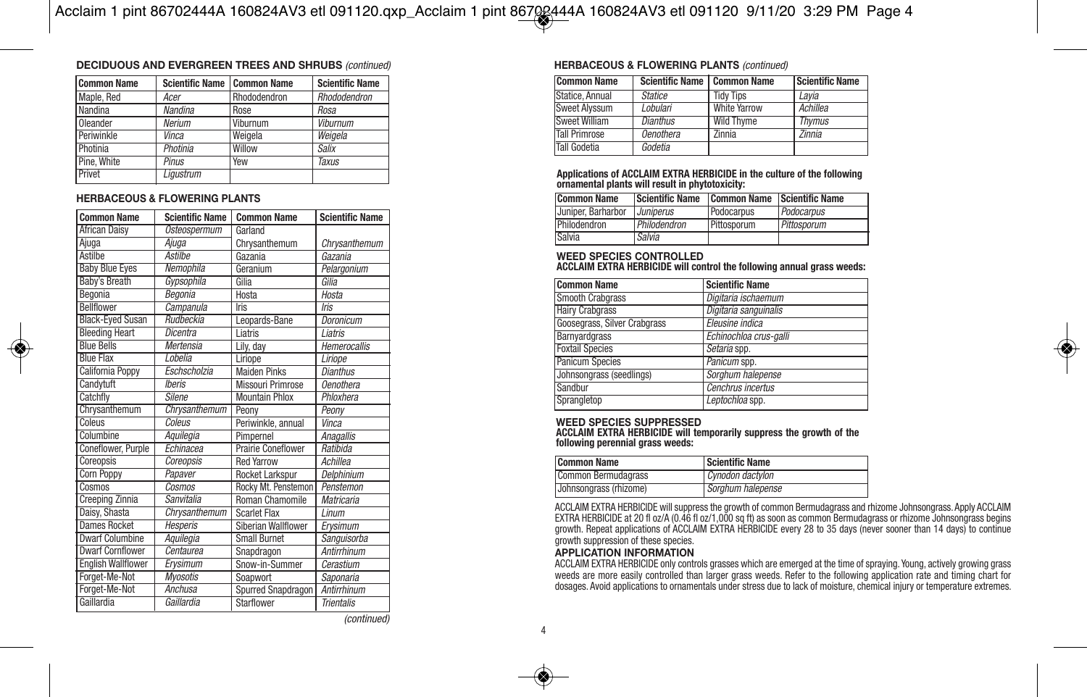## **DECIDUOUS AND EVERGREEN TREES AND SHRUBS** (continued)

| <b>Common Name</b> | Scientific Name   Common Name |              | <b>Scientific Name</b> |
|--------------------|-------------------------------|--------------|------------------------|
| Maple, Red         | Acer                          | Rhododendron | Rhododendron           |
| Nandina            | Nandina                       | Rose         | Rosa                   |
| Oleander           | Nerium                        | Viburnum     | Viburnum               |
| Periwinkle         | Vinca                         | Weigela      | Weigela                |
| Photinia           | Photinia                      | Willow       | <b>Salix</b>           |
| Pine. White        | Pinus                         | Yew          | <b>Taxus</b>           |
| Privet             | Liaustrum                     |              |                        |

## **HERBACEOUS & FLOWERING PLANTS**

| <b>Common Name</b>        | <b>Scientific Name</b> | <b>Common Name</b>        | <b>Scientific Name</b> |
|---------------------------|------------------------|---------------------------|------------------------|
| <b>African Daisy</b>      | Osteospermum           | Garland                   |                        |
| Ajuga                     | Ajuga                  | Chrysanthemum             | Chrysanthemum          |
| <b>Astilbe</b>            | <b>Astilbe</b>         | Gazania                   | Gazania                |
| <b>Baby Blue Eyes</b>     | Nemophila              | Geranium                  | Pelargonium            |
| <b>Baby's Breath</b>      | Gypsophila             | Gilia                     | Gilia                  |
| Begonia                   | Begonia                | Hosta                     | Hosta                  |
| <b>Bellflower</b>         | Campanula              | Iris                      | Iris                   |
| <b>Black-Eyed Susan</b>   | <b>Rudbeckia</b>       | Leopards-Bane             | Doronicum              |
| <b>Bleeding Heart</b>     | Dicentra               | Liatris                   | Liatris                |
| <b>Blue Bells</b>         | Mertensia              | Lily, day                 | <b>Hemerocallis</b>    |
| <b>Blue Flax</b>          | Lobelia                | Liriope                   | Liriope                |
| <b>California Poppy</b>   | Eschscholzia           | <b>Maiden Pinks</b>       | <b>Dianthus</b>        |
| Candytuft                 | <b>Iberis</b>          | <b>Missouri Primrose</b>  | <b>Oenothera</b>       |
| Catchfly                  | <b>Silene</b>          | <b>Mountain Phlox</b>     | Phloxhera              |
| Chrysanthemum             | Chrysanthemum          | Peony                     | Peony                  |
| Coleus                    | Coleus                 | Periwinkle, annual        | Vinca                  |
| Columbine                 | Aquilegia              | Pimpernel                 | <b>Anagallis</b>       |
| Coneflower, Purple        | Echinacea              | <b>Prairie Coneflower</b> | Ratibida               |
| Coreopsis                 | Coreopsis              | <b>Red Yarrow</b>         | Achillea               |
| Corn Poppy                | Papaver                | Rocket Larkspur           | Delphinium             |
| Cosmos                    | Cosmos                 | Rocky Mt. Penstemon       | Penstemon              |
| Creeping Zinnia           | Sanvitalia             | <b>Roman Chamomile</b>    | <b>Matricaria</b>      |
| Daisy, Shasta             | Chrysanthemum          | <b>Scarlet Flax</b>       | Linum                  |
| <b>Dames Rocket</b>       | <b>Hesperis</b>        | Siberian Wallflower       | Ervsimum               |
| <b>Dwarf Columbine</b>    | Aquilegia              | <b>Small Burnet</b>       | Sanguisorba            |
| <b>Dwarf Cornflower</b>   | Centaurea              | Snapdragon                | Antirrhinum            |
| <b>English Wallflower</b> | Ervsimum               | Snow-in-Summer            | Cerastium              |
| Forget-Me-Not             | Mvosotis               | Soapwort                  | Saponaria              |
| Forget-Me-Not             | Anchusa                | Spurred Snapdragon        | Antirrhinum            |
| Gaillardia                | Gaillardia             | Starflower                | <b>Trientalis</b>      |

## **HERBACEOUS & FLOWERING PLANTS (continued)**

| <b>Common Name</b>   | Scientific Name   Common Name |                     | Scientific Name |
|----------------------|-------------------------------|---------------------|-----------------|
| Statice, Annual      | <b>Statice</b>                | <b>Tidy Tips</b>    | Lavia           |
| <b>Sweet Alvssum</b> | Lobulari                      | <b>White Yarrow</b> | Achillea        |
| <b>Sweet William</b> | <b>Dianthus</b>               | <b>Wild Thyme</b>   | <b>Thymus</b>   |
| <b>Tall Primrose</b> | <b>Oenothera</b>              | Zinnia              | <b>Zinnia</b>   |
| Tall Godetia         | Godetia                       |                     |                 |

#### **Applications of ACCLAIM EXTRA HERBICIDE in the culture of the following ornamental plants will result in phytotoxicity:**

| Common Name        | Scientific Name                | Common Name Scientific Name |             |
|--------------------|--------------------------------|-----------------------------|-------------|
| Juniper, Barharbor | <i><u><b>Juniperus</b></u></i> | Podocarpus                  | Podocarpus  |
| Philodendron       | Philodendron                   | Pittosporum                 | Pittosporum |
| Salvia             | Salvia                         |                             |             |

**WEED SPECIES CONTROLLED ACCLAIM EXTRA HERBICIDE will control the following annual grass weeds:**

| <b>Common Name</b>           | <b>Scientific Name</b> |
|------------------------------|------------------------|
| <b>Smooth Crabgrass</b>      | Digitaria ischaemum    |
| <b>Hairy Crabgrass</b>       | Digitaria sanguinalis  |
| Goosegrass, Silver Crabgrass | Eleusine indica        |
| <b>Barnvardgrass</b>         | Echinochloa crus-galli |
| <b>Foxtail Species</b>       | Setaria spp.           |
| <b>Panicum Species</b>       | Panicum spp.           |
| Johnsongrass (seedlings)     | Sorghum halepense      |
| Sandbur                      | Cenchrus incertus      |
| Sprangletop                  | Leptochloa spp.        |

#### **WEED SPECIES SUPPRESSED ACCLAIM EXTRA HERBICIDE will temporarily suppress the growth of the following perennial grass weeds:**

| Common Name            | Scientific Name   |
|------------------------|-------------------|
| Common Bermudagrass    | Cynodon dactylon  |
| Johnsongrass (rhizome) | Sorghum halepense |

ACCLAIM EXTRA HERBICIDE will suppress the growth of common Bermudagrass and rhizome Johnsongrass. Apply ACCLAIM EXTRA HERBICIDE at 20 fl oz/A (0.46 fl oz/1,000 sq ft) as soon as common Bermudagrass or rhizome Johnsongrass begins growth. Repeat applications of ACCLAIM EXTRA HERBICIDE every 28 to 35 days (never sooner than 14 days) to continue growth suppression of these species.

## **APPLICATION INFORMATION**

ACCLAIM EXTRA HERBICIDE only controls grasses which are emerged at the time of spraying. Young, actively growing grass weeds are more easily controlled than larger grass weeds. Refer to the following application rate and timing chart for dosages. Avoid applications to ornamentals under stress due to lack of moisture, chemical injury or temperature extremes.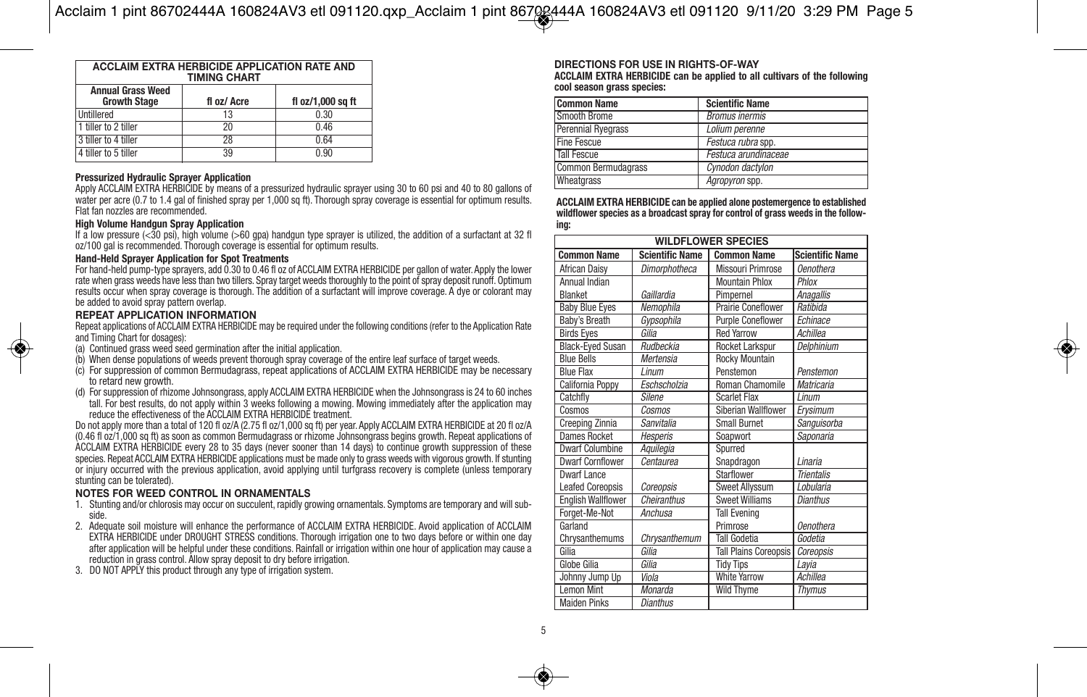| <b>ACCLAIM EXTRA HERBICIDE APPLICATION RATE AND</b><br><b>TIMING CHART</b> |             |                   |
|----------------------------------------------------------------------------|-------------|-------------------|
| <b>Annual Grass Weed</b><br><b>Growth Stage</b>                            | fl oz/ Acre | fl oz/1,000 sq ft |
| Untillered                                                                 | 13          | 0.30              |
| 1 tiller to 2 tiller                                                       | 20          | 0.46              |
| 3 tiller to 4 tiller                                                       | 28          | 0.64              |
| 4 tiller to 5 tiller                                                       | 39          | 0.90              |

#### **Pressurized Hydraulic Sprayer Application**

Apply ACCLAIM EXTRA HERBICIDE by means of a pressurized hydraulic sprayer using 30 to 60 psi and 40 to 80 gallons of water per acre (0.7 to 1.4 gal of finished spray per 1,000 sq ft). Thorough spray coverage is essential for optimum results. Flat fan nozzles are recommended.

#### **High Volume Handgun Spray Application**

If a low pressure  $\langle$  30 psi), high volume  $\langle$ >60 gpa) handgun type sprayer is utilized, the addition of a surfactant at 32 fl oz/100 gal is recommended. Thorough coverage is essential for optimum results.

## **Hand-Held Sprayer Application for Spot Treatments**

For hand-held pump-type sprayers, add 0.30 to 0.46 fl oz of ACCLAIM EXTRA HERBICIDE per gallon of water. Apply the lower rate when grass weeds have less than two tillers. Spray target weeds thoroughly to the point of spray deposit runoff. Optimum results occur when spray coverage is thorough. The addition of a surfactant will improve coverage. A dye or colorant may be added to avoid spray pattern overlap.

### **REPEAT APPLICATION INFORMATION**

Repeat applications of ACCLAIM EXTRA HERBICIDE may be required under the following conditions (refer to the Application Rate and Timing Chart for dosages):

- (a) Continued grass weed seed germination after the initial application.
- (b) When dense populations of weeds prevent thorough spray coverage of the entire leaf surface of target weeds.
- (c) For suppression of common Bermudagrass, repeat applications of ACCLAIM EXTRA HERBICIDE may be necessary to retard new growth.
- (d) For suppression of rhizome Johnsongrass, apply ACCLAIM EXTRA HERBICIDE when the Johnsongrass is 24 to 60 inches tall. For best results, do not apply within 3 weeks following a mowing. Mowing immediately after the application may reduce the effectiveness of the ACCLAIM EXTRA HERBICIDE treatment.

Do not apply more than a total of 120 fl oz/A (2.75 fl oz/1,000 sq ft) per year. Apply ACCLAIM EXTRA HERBICIDE at 20 fl oz/A (0.46 fl oz/1,000 sq ft) as soon as common Bermudagrass or rhizome Johnsongrass begins growth. Repeat applications of ACCLAIM EXTRA HERBICIDE every 28 to 35 days (never sooner than 14 days) to continue growth suppression of these species. Repeat ACCLAIM EXTRA HERBICIDE applications must be made only to grass weeds with vigorous growth. If stunting or injury occurred with the previous application, avoid applying until turfgrass recovery is complete (unless temporary stunting can be tolerated).

## **NOTES FOR WEED CONTROL IN ORNAMENTALS**

- 1. Stunting and/or chlorosis may occur on succulent, rapidly growing ornamentals. Symptoms are temporary and will subside.
- 2. Adequate soil moisture will enhance the performance of ACCLAIM EXTRA HERBICIDE. Avoid application of ACCLAIM EXTRA HERBICIDE under DROUGHT STRESS conditions. Thorough irrigation one to two days before or within one day after application will be helpful under these conditions. Rainfall or irrigation within one hour of application may cause a reduction in grass control. Allow spray deposit to dry before irrigation.
- 3. DO NOT APPLY this product through any type of irrigation system.

#### **DIRECTIONS FOR USE IN RIGHTS-OF-WAY ACCLAIM EXTRA HERBICIDE can be applied to all cultivars of the following cool season grass species:**

| <b>Common Name</b>  | <b>Scientific Name</b> |
|---------------------|------------------------|
| Smooth Brome        | <b>Bromus inermis</b>  |
| Perennial Ryegrass  | Lolium perenne         |
| <b>Fine Fescue</b>  | Festuca rubra spp.     |
| Tall Fescue         | Festuca arundinaceae   |
| Common Bermudagrass | Cynodon dactylon       |
| Wheatgrass          | Agropyron spp.         |

#### **ACCLAIM EXTRA HERBICIDE can be applied alone postemergence to established wildflower species as a broadcast spray for control of grass weeds in the follow ing:**

| <b>WILDFLOWER SPECIES</b> |                        |                           |                        |
|---------------------------|------------------------|---------------------------|------------------------|
| <b>Common Name</b>        | <b>Scientific Name</b> | <b>Common Name</b>        | <b>Scientific Name</b> |
| African Daisy             | Dimorphotheca          | Missouri Primrose         | <b>Oenothera</b>       |
| Annual Indian             |                        | <b>Mountain Phlox</b>     | Phlox                  |
| Blanket                   | Gaillardia             | Pimpernel                 | Anagallis              |
| <b>Baby Blue Eyes</b>     | Nemophila              | <b>Prairie Coneflower</b> | Ratibida               |
| Baby's Breath             | Gypsophila             | <b>Purple Coneflower</b>  | Echinace               |
| <b>Birds Eyes</b>         | Gilia                  | <b>Red Yarrow</b>         | Achillea               |
| <b>Black-Eyed Susan</b>   | <b>Rudbeckia</b>       | Rocket Larkspur           | Delphinium             |
| <b>Blue Bells</b>         | Mertensia              | Rocky Mountain            |                        |
| <b>Blue Flax</b>          | Linum                  | Penstemon                 | Penstemon              |
| California Poppy          | Eschscholzia           | Roman Chamomile           | Matricaria             |
| Catchfly                  | <b>Silene</b>          | <b>Scarlet Flax</b>       | Linum                  |
| Cosmos                    | Cosmos                 | Siberian Wallflower       | Ervsimum               |
| <b>Creeping Zinnia</b>    | Sanvitalia             | <b>Small Burnet</b>       | Sanguisorba            |
| Dames Rocket              | <b>Hesperis</b>        | Soapwort                  | Saponaria              |
| <b>Dwarf Columbine</b>    | Aquilegia              | Spurred                   |                        |
| <b>Dwarf Cornflower</b>   | Centaurea              | Snapdragon                | Linaria                |
| Dwarf Lance               |                        | Starflower                | <b>Trientalis</b>      |
| <b>Leafed Coreopsis</b>   | Coreopsis              | <b>Sweet Allyssum</b>     | Lobularia              |
| <b>English Wallflower</b> | Cheiranthus            | <b>Sweet Williams</b>     | <b>Dianthus</b>        |
| Forget-Me-Not             | Anchusa                | <b>Tall Evening</b>       |                        |
| Garland                   |                        | Primrose                  | <b>Oenothera</b>       |
| Chrysanthemums            | Chrysanthemum          | Tall Godetia              | Godetia                |
| Gilia                     | Gilia                  | Tall Plains Coreopsis     | Coreopsis              |
| Globe Gilia               | Gilia                  | <b>Tidy Tips</b>          | Lavia                  |
| Johnny Jump Up            | Viola                  | <b>White Yarrow</b>       | Achillea               |
| <b>Lemon Mint</b>         | Monarda                | <b>Wild Thyme</b>         | <b>Thymus</b>          |
| <b>Maiden Pinks</b>       | <b>Dianthus</b>        |                           |                        |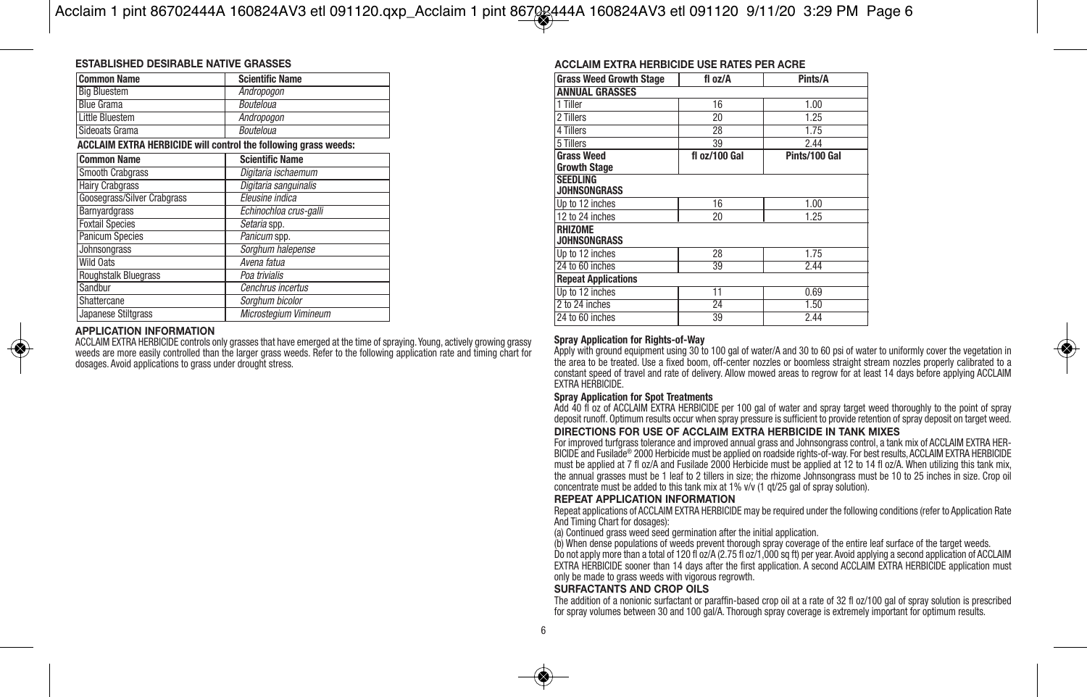#### **ESTABLISHED DESIRABLE NATIVE GRASSES**

| <b>Common Name</b>  | <b>Scientific Name</b> |
|---------------------|------------------------|
| <b>Big Bluestem</b> | Andropoaon             |
| <b>Blue Grama</b>   | <b>Bouteloua</b>       |
| Little Bluestem     | Andropogon             |
| Sideoats Grama      | <b>Bouteloua</b>       |

**ACCLAIM EXTRA HERBICIDE will control the following grass weeds:**

| <b>Common Name</b>                 | <b>Scientific Name</b> |
|------------------------------------|------------------------|
| <b>Smooth Crabgrass</b>            | Digitaria ischaemum    |
| <b>Hairy Crabgrass</b>             | Digitaria sanguinalis  |
| <b>Goosegrass/Silver Crabgrass</b> | Eleusine indica        |
| Barnyardgrass                      | Echinochloa crus-galli |
| <b>Foxtail Species</b>             | Setaria spp.           |
| <b>Panicum Species</b>             | Panicum spp.           |
| Johnsongrass                       | Sorghum halepense      |
| <b>Wild Oats</b>                   | Avena fatua            |
| <b>Roughstalk Bluegrass</b>        | Poa trivialis          |
| Sandbur                            | Cenchrus incertus      |
| Shattercane                        | Sorghum bicolor        |
| Japanese Stiltgrass                | Microstegium Vimineum  |

### **APPLICATION INFORMATION**

ACCLAIM EXTRA HERBICIDE controls only grasses that have emerged at the time of spraying. Young, actively growing grassy weeds are more easily controlled than the larger grass weeds. Refer to the following application rate and timing chart for dosages. Avoid applications to grass under drought stress.

#### **ACCLAIM EXTRA HERBICIDE USE RATES PER ACRE**

| <b>Grass Weed Growth Stage</b>           | fl oz/A       | Pints/A       |
|------------------------------------------|---------------|---------------|
| <b>ANNUAL GRASSES</b>                    |               |               |
| 1 Tiller                                 | 16            | 1.00          |
| 2 Tillers                                | 20            | 1.25          |
| 4 Tillers                                | 28            | 1.75          |
| 5 Tillers                                | 39            | 2.44          |
| <b>Grass Weed</b><br><b>Growth Stage</b> | fl oz/100 Gal | Pints/100 Gal |
| <b>SEEDLING</b><br><b>JOHNSONGRASS</b>   |               |               |
| Up to 12 inches                          | 16            | 1.00          |
| 12 to 24 inches                          | 20            | 1.25          |
| RHIZOME<br><b>JOHNSONGRASS</b>           |               |               |
| Up to 12 inches                          | 28            | 1.75          |
| 24 to 60 inches                          | 39            | 2.44          |
| <b>Repeat Applications</b>               |               |               |
| Up to 12 inches                          | 11            | 0.69          |
| 2 to 24 inches                           | 24            | 1.50          |
| 24 to 60 inches                          | 39            | 2.44          |

#### **Spray Application for Rights-of-Way**

Apply with ground equipment using 30 to 100 gal of water/A and 30 to 60 psi of water to uniformly cover the vegetation in the area to be treated. Use a fixed boom, off-center nozzles or boomless straight stream nozzles properly calibrated to a constant speed of travel and rate of delivery. Allow mowed areas to regrow for at least 14 days before applying ACCLAIM EXTRA HERBICIDE.

## **Spray Application for Spot Treatments**

Add 40 fl oz of ACCLAIM EXTRA HERBICIDE per 100 gal of water and spray target weed thoroughly to the point of spray deposit runoff. Optimum results occur when spray pressure is sufficient to provide retention of spray deposit on target weed.

## **DIRECTIONS FOR USE OF ACCLAIM EXTRA HERBICIDE IN TANK MIXES**

For improved turfgrass tolerance and improved annual grass and Johnsongrass control, a tank mix of ACCLAIM EXTRA HER-BICIDE and Fusilade® 2000 Herbicide must be applied on roadside rights-of-way. For best results, ACCLAIM EXTRA HERBICIDE must be applied at 7 fl oz/A and Fusilade 2000 Herbicide must be applied at 12 to 14 fl oz/A. When utilizing this tank mix, the annual grasses must be 1 leaf to 2 tillers in size; the rhizome Johnsongrass must be 10 to 25 inches in size. Crop oil concentrate must be added to this tank mix at 1% v/v (1 gt/25 gal of spray solution).

### **REPEAT APPLICATION INFORMATION**

Repeat applications of ACCLAIM EXTRA HERBICIDE may be required under the following conditions (refer to Application Rate And Timing Chart for dosages):

(a) Continued grass weed seed germination after the initial application.

(b) When dense populations of weeds prevent thorough spray coverage of the entire leaf surface of the target weeds. Do not apply more than a total of 120 fl oz/A (2.75 fl oz/1,000 sq ft) per year. Avoid applying a second application of ACCLAIM EXTRA HERBICIDE sooner than 14 days after the first application. A second ACCLAIM EXTRA HERBICIDE application must only be made to grass weeds with vigorous regrowth.

### **SURFACTANTS AND CROP OILS**

The addition of a nonionic surfactant or paraffin-based crop oil at a rate of 32 fl oz/100 gal of spray solution is prescribed for spray volumes between 30 and 100 gal/A. Thorough spray coverage is extremely important for optimum results.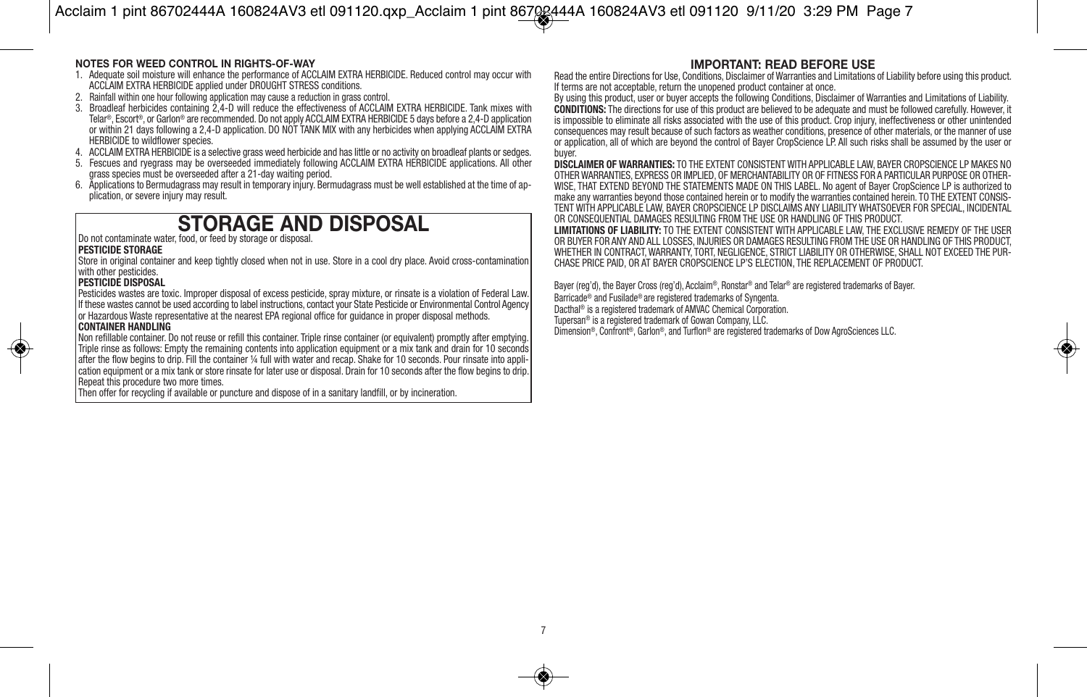#### **NOTES FOR WEED CONTROL IN RIGHTS-OF-WAY**

- 1. Adequate soil moisture will enhance the performance of ACCLAIM EXTRA HERBICIDE. Reduced control may occur with ACCLAIM EXTRA HERBICIDE applied under DROUGHT STRESS conditions.
- 2. Rainfall within one hour following application may cause a reduction in grass control.
- 3. Broadleaf herbicides containing 2,4-D will reduce the effectiveness of ACCLAIM EXTRA HERBICIDE. Tank mixes with Telar®, Escort®, or Garlon® are recommended. Do not apply ACCLAIM EXTRA HERBICIDE 5 days before a 2,4-D application or within 21 days following a 2,4-D application. DO NOT TANK MIX with any herbicides when applying ACCLAIM EXTRA HERBICIDE to wildflower species.
- 4. ACCLAIM EXTRA HERBICIDE is a selective grass weed herbicide and has little or no activity on broadleaf plants or sedges.
- 5. Fescues and ryegrass may be overseeded immediately following ACCLAIM EXTRA HERBICIDE applications. All other grass species must be overseeded after a 21-day waiting period.
- 6. Applications to Bermudagrass may result in temporary injury. Bermudagrass must be well established at the time of application, or severe injury may result.

## **STORAGE AND DISPOSAL**

Do not contaminate water, food, or feed by storage or disposal.

## **PESTICIDE STORAGE**

Store in original container and keep tightly closed when not in use. Store in a cool dry place. Avoid cross-contamination with other pesticides.

## **PESTICIDE DISPOSAL**

Pesticides wastes are toxic. Improper disposal of excess pesticide, spray mixture, or rinsate is a violation of Federal Law. If these wastes cannot be used according to label instructions, contact your State Pesticide or Environmental Control Agency or Hazardous Waste representative at the nearest EPA regional office for guidance in proper disposal methods.

## **CONTAINER HANDLING**

Non refillable container. Do not reuse or refill this container. Triple rinse container (or equivalent) promptly after emptying. Triple rinse as follows: Empty the remaining contents into application equipment or a mix tank and drain for 10 seconds after the flow begins to drip. Fill the container ¼ full with water and recap. Shake for 10 seconds. Pour rinsate into application equipment or a mix tank or store rinsate for later use or disposal. Drain for 10 seconds after the flow begins to drip. Repeat this procedure two more times.

Then offer for recycling if available or puncture and dispose of in a sanitary landfill, or by incineration.

## **IMPORTANT: READ BEFORE USE**

Read the entire Directions for Use, Conditions, Disclaimer of Warranties and Limitations of Liability before using this product. If terms are not acceptable, return the unopened product container at once.

By using this product, user or buyer accepts the following Conditions, Disclaimer of Warranties and Limitations of Liability. **CONDITIONS:** The directions for use of this product are believed to be adequate and must be followed carefully. However, it is impossible to eliminate all risks associated with the use of this product. Crop injury, ineffectiveness or other unintended consequences may result because of such factors as weather conditions, presence of other materials, or the manner of use or application, all of which are beyond the control of Bayer CropScience LP. All such risks shall be assumed by the user or buyer.

**DISCLAIMER OF WARRANTIES:** TO THE EXTENT CONSISTENT WITH APPLICABLE LAW, BAYER CROPSCIENCE LP MAKES NO OTHER WARRANTIES, EXPRESS OR IMPLIED, OF MERCHANTABILITY OR OF FITNESS FOR A PARTICULAR PURPOSE OR OTHER-WISE, THAT EXTEND BEYOND THE STATEMENTS MADE ON THIS LABEL. No agent of Bayer CropScience LP is authorized to make any warranties beyond those contained herein or to modify the warranties contained herein. TO THE EXTENT CONSIS-TENT WITH APPLICABLE LAW, BAYER CROPSCIENCE LP DISCLAIMS ANY LIABILITY WHATSOEVER FOR SPECIAL, INCIDENTAL OR CONSEQUENTIAL DAMAGES RESULTING FROM THE USE OR HANDLING OF THIS PRODUCT.

**LIMITATIONS OF LIABILITY:** TO THE EXTENT CONSISTENT WITH APPLICABLE LAW, THE EXCLUSIVE REMEDY OF THE USER OR BUYER FOR ANY AND ALL LOSSES, INJURIES OR DAMAGES RESULTING FROM THE USE OR HANDLING OF THIS PRODUCT, WHETHER IN CONTRACT, WARRANTY, TORT, NEGLIGENCE, STRICT LIABILITY OR OTHERWISE, SHALL NOT EXCEED THE PUR-CHASE PRICE PAID, OR AT BAYER CROPSCIENCE LP'S ELECTION, THE REPLACEMENT OF PRODUCT.

Bayer (reg'd), the Bayer Cross (reg'd), Acclaim®, Ronstar® and Telar® are registered trademarks of Bayer. Barricade® and Fusilade® are registered trademarks of Syngenta.

Dacthal® is a registered trademark of AMVAC Chemical Corporation

Tupersan® is a registered trademark of Gowan Company, LLC.

Dimension®, Confront®, Garlon®, and Turflon® are registered trademarks of Dow AgroSciences LLC.